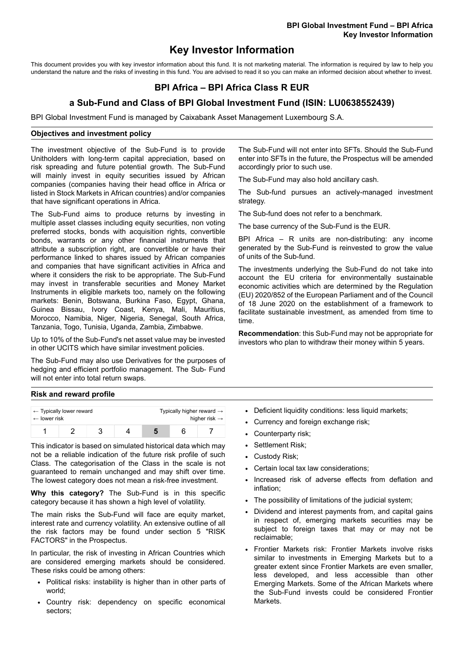# **Key Investor Information**

This document provides you with key investor information about this fund. It is not marketing material. The information is required by law to help you understand the nature and the risks of investing in this fund. You are advised to read it so you can make an informed decision about whether to invest.

## **BPI Africa – BPI Africa Class R EUR**

### **a Sub-Fund and Class of BPI Global Investment Fund (ISIN: LU0638552439)**

BPI Global Investment Fund is managed by Caixabank Asset Management Luxembourg S.A.

#### **Objectives and investment policy**

The investment objective of the Sub-Fund is to provide Unitholders with long-term capital appreciation, based on risk spreading and future potential growth. The Sub-Fund will mainly invest in equity securities issued by African companies (companies having their head office in Africa or listed in Stock Markets in African countries) and/or companies that have significant operations in Africa.

The Sub-Fund aims to produce returns by investing in multiple asset classes including equity securities, non voting preferred stocks, bonds with acquisition rights, convertible bonds, warrants or any other financial instruments that attribute a subscription right, are convertible or have their performance linked to shares issued by African companies and companies that have significant activities in Africa and where it considers the risk to be appropriate. The Sub-Fund may invest in transferable securities and Money Market Instruments in eligible markets too, namely on the following markets: Benin, Botswana, Burkina Faso, Egypt, Ghana, Guinea Bissau, Ivory Coast, Kenya, Mali, Mauritius, Morocco, Namibia, Niger, Nigeria, Senegal, South Africa, Tanzania, Togo, Tunisia, Uganda, Zambia, Zimbabwe.

Up to 10% of the Sub-Fund's net asset value may be invested in other UCITS which have similar investment policies.

The Sub-Fund may also use Derivatives for the purposes of hedging and efficient portfolio management. The Sub- Fund will not enter into total return swaps.

The Sub-Fund will not enter into SFTs. Should the Sub-Fund enter into SFTs in the future, the Prospectus will be amended accordingly prior to such use.

The Sub-Fund may also hold ancillary cash.

The Sub-fund pursues an actively-managed investment strategy.

The Sub-fund does not refer to a benchmark.

The base currency of the Sub-Fund is the EUR.

BPI Africa – R units are non-distributing: any income generated by the Sub-Fund is reinvested to grow the value of units of the Sub-fund.

The investments underlying the Sub-Fund do not take into account the EU criteria for environmentally sustainable economic activities which are determined by the Regulation (EU) 2020/852 of the European Parliament and of the Council of 18 June 2020 on the establishment of a framework to facilitate sustainable investment, as amended from time to time.

**Recommendation**: this Sub-Fund may not be appropriate for investors who plan to withdraw their money within 5 years.

### **Risk and reward profile**

| $\leftarrow$ lower risk | $\leftarrow$ Typically lower reward |  | Typically higher reward $\rightarrow$<br>higher risk $\rightarrow$ |  |  |
|-------------------------|-------------------------------------|--|--------------------------------------------------------------------|--|--|
|                         |                                     |  |                                                                    |  |  |

This indicator is based on simulated historical data which may not be a reliable indication of the future risk profile of such Class. The categorisation of the Class in the scale is not guaranteed to remain unchanged and may shift over time. The lowest category does not mean a risk-free investment.

**Why this category?** The Sub-Fund is in this specific category because it has shown a high level of volatility.

The main risks the Sub-Fund will face are equity market, interest rate and currency volatility. An extensive outline of all the risk factors may be found under section 5 "RISK FACTORS" in the Prospectus.

In particular, the risk of investing in African Countries which are considered emerging markets should be considered. These risks could be among others:

- Political risks: instability is higher than in other parts of world;
- Country risk: dependency on specific economical sectors;
- Deficient liquidity conditions: less liquid markets;
- Currency and foreign exchange risk;
- Counterparty risk;
- Settlement Risk;
- Custody Risk;
- Certain local tax law considerations:
- Increased risk of adverse effects from deflation and inflation;
- The possibility of limitations of the judicial system;
- Dividend and interest payments from, and capital gains in respect of, emerging markets securities may be subject to foreign taxes that may or may not be reclaimable;
- Frontier Markets risk: Frontier Markets involve risks similar to investments in Emerging Markets but to a greater extent since Frontier Markets are even smaller, less developed, and less accessible than other Emerging Markets. Some of the African Markets where the Sub-Fund invests could be considered Frontier **Markets**